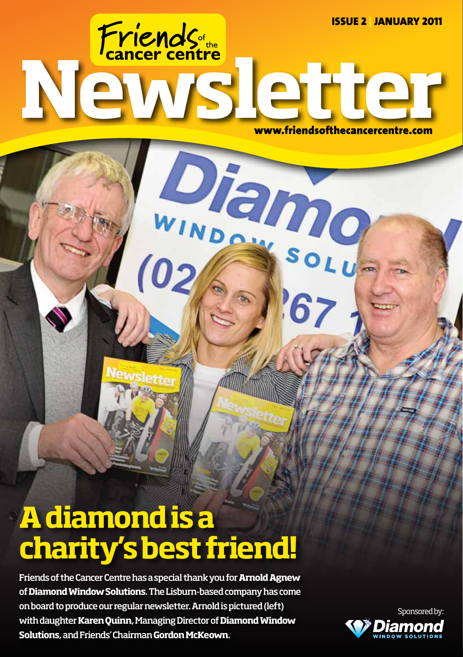Issue 2 | january 2011 Friends (street centre)

# **A diamond is a charity's best friend!**

Diamo

Friends of the Cancer Centre has a special thank you for **Arnold Agnew** of **Diamond Window Solutions**. The Lisburn-based company has come on board to produce our regular newsletter. Arnold is pictured (left) with daughter **Karen Quinn**, Managing Director of **Diamond Window Solutions**, and Friends' Chairman **Gordon McKeown**.

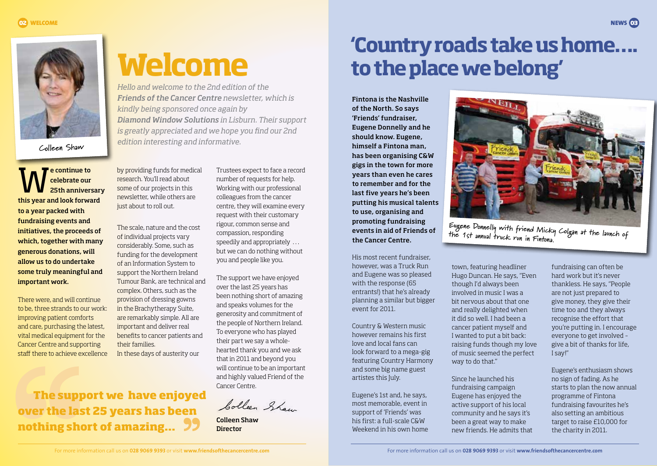

**Colleen Shaw**

We continue to<br>
Explorate our<br>
We consider the line celebrate our 25th anniversary this year and look forward to a year packed with fundraising events and initiatives, the proceeds of which, together with many generous donations, will allow us to do undertake some truly meaningful and important work.

There were, and will continue to be, three strands to our work: improving patient comforts and care, purchasing the latest, vital medical equipment for the Cancer Centre and supporting staff there to achieve excellence by providing funds for medical research. You'll read about some of our projects in this newsletter, while others are just about to roll out.

**Welcome**

*kindly being sponsored once again by* 

*edition interesting and informative.*

*Hello and welcome to the 2nd edition of the* 

*Friends of the Cancer Centre newsletter, which is* 

*Diamond Window Solutions in Lisburn. Their support is greatly appreciated and we hope you find our 2nd* 

The scale, nature and the cost of individual projects vary considerably. Some, such as funding for the development of an Information System to support the Northern Ireland Tumour Bank, are technical and complex. Others, such as the provision of dressing gowns in the Brachytherapy Suite, are remarkably simple. All are important and deliver real benefits to cancer patients and their families. In these days of austerity our

 **The support we have enjoyed over the last 25 years has been nothing short of amazing...**

Trustees expect to face a record number of requests for help. Working with our professional colleagues from the cancer centre, they will examine every request with their customary rigour, common sense and compassion, responding speedily and appropriately . . . but we can do nothing without

you and people like you.

The support we have enjoyed over the last 25 years has been nothing short of amazing and speaks volumes for the generosity and commitment of the people of Northern Ireland. To everyone who has played their part we say a wholehearted thank you and we ask that in 2011 and beyond you will continue to be an important and highly valued Friend of the Cancer Centre.

Colleen Shaw

Colleen Shaw **Director** 

## **'Country roads take us home…. to the place we belong'**

Fintona is the Nashville of the North. So says 'Friends' fundraiser, Eugene Donnelly and he should know. Eugene, himself a Fintona man, has been organising C&W gigs in the town for more years than even he cares to remember and for the last five years he's been putting his musical talents to use, organising and promoting fundraising events in aid of Friends of the Cancer Centre.

His most recent fundraiser, however, was a Truck Run and Eugene was so pleased with the response (65 entrants!) that he's already planning a similar but bigger event for 2011.

Country & Western music however remains his first love and local fans can look forward to a mega-gig featuring Country Harmony and some big name guest artistes this July.

Eugene's 1st and, he says, most memorable, event in support of 'Friends' was his first: a full-scale C&W Weekend in his own home



**Eugene Donnelly with friend Micky Colgan at the launch of the 1st annual truck run in Fintona.**

town, featuring headliner Hugo Duncan. He says, "Even though I'd always been involved in music I was a bit nervous about that one and really delighted when it did so well. I had been a cancer patient myself and I wanted to put a bit back: raising funds though my love of music seemed the perfect way to do that."

Since he launched his fundraising campaign Eugene has enjoyed the active support of his local community and he says it's been a great way to make new friends. He admits that

fundraising can often be hard work but it's never thankless. He says, "People are not just prepared to give money, they give their time too and they always recognise the effort that you're putting in. I encourage everyone to get involved – give a bit of thanks for life, I say!"

Eugene's enthusiasm shows no sign of fading. As he starts to plan the now annual programme of Fintona fundraising favourites he's also setting an ambitious target to raise £10,000 for the charity in 2011.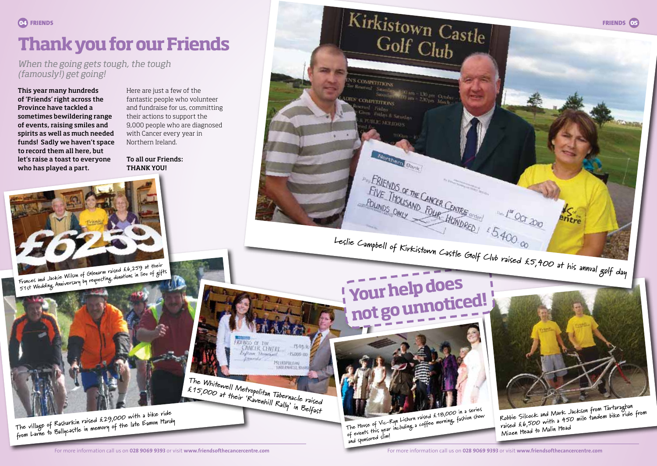# **Thank you for our Friends 1444 FRIENDS 12444 CONTRACT CONTRACT CONTRACT CONTRACT CONTRACT CONTRACT CONTRACT CONTRACT CONTRACT CONTRACT CONTRACT CONTRACT CONTRACT CONTRACT CONTRACT CONTRACT CONTRACT CONTRACT CONTRACT CONTRACT CONTRACT CONTRACT CO**

*When the going gets tough, the tough (famously!) get going!* 

This year many hundreds of 'Friends' right across the Province have tackled a sometimes bewildering range of events, raising smiles and spirits as well as much needed funds! Sadly we haven't space to record them all here, but let's raise a toast to everyone who has played a part.

Here are just a few of the fantastic people who volunteer and fundraise for us, committing their actions to support the 9,000 people who are diagnosed with Cancer every year in Northern Ireland.

To all our Friends: THANK YOU!



**Frances and Jackie Wilson of Glenarm raised £6,259 at their 51st Wedding Anniversary by requesting donations in lieu of gifts**

> **The House of Vic-Ryn Lisburn raised £18,000 in a series**  The House of Vic-Ryn Lisburn raised £70,000 , fashion show<br>The House of Vic-Ryn Including a coffee morning, fashion show<br>of events this clim! **and sponsored slim!**

PL-trt. (15000-0) MELKOPOLITANA

**KUNDS OF THE** ANCER CINTEL **Your help does** 

Northern Bank

POUNDS ONLY FO

**N'S COMPETITIONS** 

**COMPUTITIONS** 

**not go unnoticed!**

 $\frac{1.500 \text{ m}}{4\pi} = \frac{130 \text{ m}}{2.30 \text{ pm}}$  (Need)<br>w

FOUR THE CANCER CENTRE

FIVE IHOUSAND FOUR CENTRE<br>POUNDS ONLY TOUR HUNDRED 55,400 co<br>Leslie Campbell of Kirkistown Castle Golf Club raised £5,400 at his annual golf day

**Part 1st OCT 2010** 

**Robbie Silcock and Mark Jackson from Tartaraghan raised £6,500 with a 450 mile tandem bike ride from Mizen Head to Malin Head**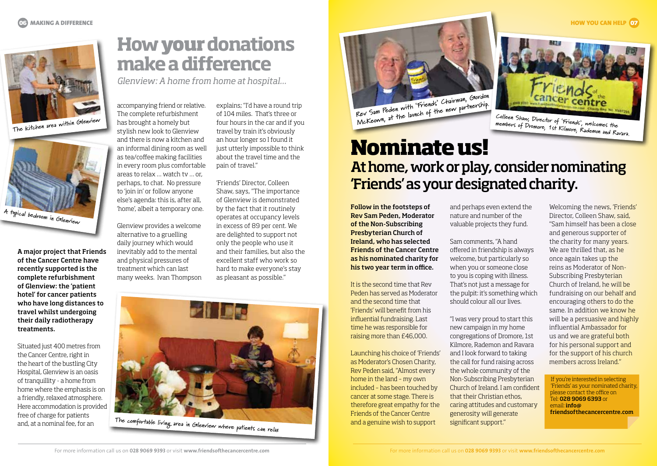





A major project that Friends of the Cancer Centre have recently supported is the complete refurbishment of Glenview: the 'patient hotel' for cancer patients who have long distances to travel whilst undergoing their daily radiotherapy treatments.

Situated just 400 metres from the Cancer Centre, right in the heart of the bustling City Hospital, Glenview is an oasis of tranquillity - a home from home where the emphasis is on a friendly, relaxed atmosphere. Here accommodation is provided free of charge for patients and, at a nominal fee, for an

## **How your donations make a difference**

*Glenview: A home from home at hospital...*

accompanying friend or relative. The complete refurbishment has brought a homely but stylish new look to Glenview and there is now a kitchen and an informal dining room as well as tea/coffee making facilities in every room plus comfortable areas to relax … watch tv … or, perhaps, to chat. No pressure to 'join in' or follow anyone else's agenda: this is, after all, 'home', albeit a temporary one.

Glenview provides a welcome alternative to a gruelling daily journey which would inevitably add to the mental and physical pressures of treatment which can last many weeks. Ivan Thompson

explains; "I'd have a round trip of 104 miles. That's three or four hours in the car and if you travel by train it's obviously an hour longer so I found it just utterly impossible to think about the travel time and the pain of travel."

'Friends' Director, Colleen Shaw, says, "The importance of Glenview is demonstrated by the fact that it routinely operates at occupancy levels in excess of 89 per cent. We are delighted to support not only the people who use it and their families, but also the excellent staff who work so hard to make everyone's stay as pleasant as possible."



**Rev Sam Peden with 'Friends' Chairman, Gordon**  McKeown, at the launch of the new partnership.

### **Nominate us!**  At home, work or play, consider nominating 'Friends' as your designated charity. **members of Dromore, 1st Kilmore, Rademon and Ravara.**

Follow in the footsteps of Rev Sam Peden, Moderator of the Non-Subscribing Presbyterian Church of Ireland, who has selected Friends of the Cancer Centre as his nominated charity for his two year term in office.

It is the second time that Rev Peden has served as Moderator and the second time that 'Friends' will benefit from his influential fundraising. Last time he was responsible for raising more than £46,000.

Launching his choice of 'Friends' as Moderator's Chosen Charity, Rev Peden said, "Almost every home in the land – my own included – has been touched by cancer at some stage. There is therefore great empathy for the Friends of the Cancer Centre and a genuine wish to support

and perhaps even extend the nature and number of the valuable projects they fund.

Sam comments, "A hand offered in friendship is always welcome, but particularly so when you or someone close to you is coping with illness. That's not just a message for the pulpit: it's something which should colour all our lives.

"I was very proud to start this new campaign in my home congregations of Dromore, 1st Kilmore, Rademon and Ravara and I look forward to taking the call for fund raising across the whole community of the Non-Subscribing Presbyterian Church of Ireland. I am confident that their Christian ethos, caring attitudes and customary generosity will generate significant support."

Welcoming the news, 'Friends' Director, Colleen Shaw, said, "Sam himself has been a close and generous supporter of the charity for many years. We are thrilled that, as he once again takes up the reins as Moderator of Non-Subscribing Presbyterian Church of Ireland, he will be fundraising on our behalf and encouraging others to do the same. In addition we know he will be a persuasive and highly influential Ambassador for us and we are grateful both for his personal support and for the support of his church members across Ireland."

**HOW YOU CAN HELP 07** 

**Colleen Shaw, Director of 'Friends', welcomes the** 

If you're interested in selecting 'Friends' as your nominated charity, please contact the office on Tel: 028 9069 6393 or email: info@ friendsofthecancercentre.com

### For more information call us on **028 9069 9393** or visit **www.friendsofthecancercentre.com**

For more information call us on **028 9069 9393** or visit **www.friendsofthecancercentre.com**